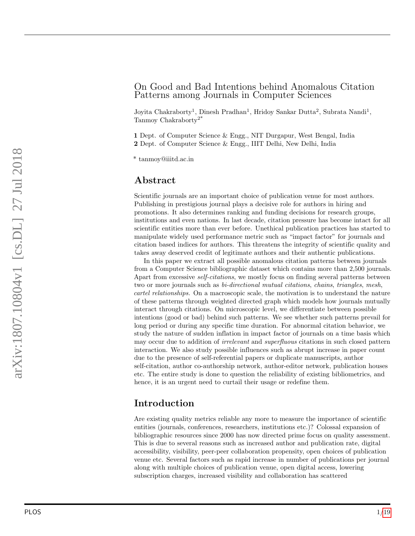### On Good and Bad Intentions behind Anomalous Citation Patterns among Journals in Computer Sciences

Joyita Chakraborty<sup>1</sup>, Dinesh Pradhan<sup>1</sup>, Hridoy Sankar Dutta<sup>2</sup>, Subrata Nandi<sup>1</sup>, Tanmoy Chakraborty2\*

1 Dept. of Computer Science & Engg., NIT Durgapur, West Bengal, India 2 Dept. of Computer Science & Engg., IIIT Delhi, New Delhi, India

\* tanmoy@iiitd.ac.in

#### Abstract

Scientific journals are an important choice of publication venue for most authors. Publishing in prestigious journal plays a decisive role for authors in hiring and promotions. It also determines ranking and funding decisions for research groups, institutions and even nations. In last decade, citation pressure has become intact for all scientific entities more than ever before. Unethical publication practices has started to manipulate widely used performance metric such as "impact factor" for journals and citation based indices for authors. This threatens the integrity of scientific quality and takes away deserved credit of legitimate authors and their authentic publications.

In this paper we extract all possible anomalous citation patterns between journals from a Computer Science bibliographic dataset which contains more than 2,500 journals. Apart from excessive *self-citations*, we mostly focus on finding several patterns between two or more journals such as *bi-directional mutual citations*, *chains*, *triangles*, *mesh*, cartel relationships. On a macroscopic scale, the motivation is to understand the nature of these patterns through weighted directed graph which models how journals mutually interact through citations. On microscopic level, we differentiate between possible intentions (good or bad) behind such patterns. We see whether such patterns prevail for long period or during any specific time duration. For abnormal citation behavior, we study the nature of sudden inflation in impact factor of journals on a time basis which may occur due to addition of *irrelevant* and *superfluous* citations in such closed pattern interaction. We also study possible influences such as abrupt increase in paper count due to the presence of self-referential papers or duplicate manuscripts, author self-citation, author co-authorship network, author-editor network, publication houses etc. The entire study is done to question the reliability of existing bibliometrics, and hence, it is an urgent need to curtail their usage or redefine them.

## Introduction

Are existing quality metrics reliable any more to measure the importance of scientific entities (journals, conferences, researchers, institutions etc.)? Colossal expansion of bibliographic resources since 2000 has now directed prime focus on quality assessment. This is due to several reasons such as increased author and publication rate, digital accessibility, visibility, peer-peer collaboration propensity, open choices of publication venue etc. Several factors such as rapid increase in number of publications per journal along with multiple choices of publication venue, open digital access, lowering subscription charges, increased visibility and collaboration has scattered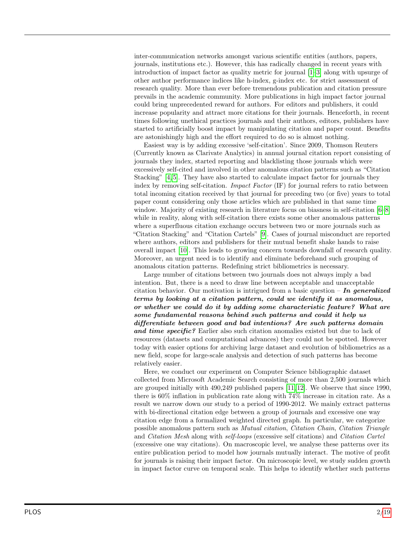inter-communication networks amongst various scientific entities (authors, papers, journals, institutions etc.). However, this has radically changed in recent years with introduction of impact factor as quality metric for journal [\[1–](#page-16-0)[3\]](#page-16-1) along with upsurge of other author performance indices like h-index, g-index etc. for strict assessment of research quality. More than ever before tremendous publication and citation pressure prevails in the academic community. More publications in high impact factor journal could bring unprecedented reward for authors. For editors and publishers, it could increase popularity and attract more citations for their journals. Henceforth, in recent times following unethical practices journals and their authors, editors, publishers have started to artificially boost impact by manipulating citation and paper count. Benefits are astonishingly high and the effort required to do so is almost nothing.

Easiest way is by adding excessive 'self-citation'. Since 2009, Thomson Reuters (Currently known as Clarivate Analytics) in annual journal citation report consisting of journals they index, started reporting and blacklisting those journals which were excessively self-cited and involved in other anomalous citation patterns such as "Citation Stacking" [\[4,](#page-16-2) [5\]](#page-16-3). They have also started to calculate impact factor for journals they index by removing self-citation. *Impact Factor*  $(\text{IF})$  for journal refers to ratio between total incoming citation received by that journal for preceding two (or five) years to total paper count considering only those articles which are published in that same time window. Majority of existing research in literature focus on biasness in self-citation [\[6](#page-16-4)[–8\]](#page-16-5) while in reality, along with self-citation there exists some other anomalous patterns where a superfluous citation exchange occurs between two or more journals such as "Citation Stacking" and "Citation Cartels" [\[9\]](#page-17-0). Cases of journal misconduct are reported where authors, editors and publishers for their mutual benefit shake hands to raise overall impact [\[10\]](#page-17-1). This leads to growing concern towards downfall of research quality. Moreover, an urgent need is to identify and eliminate beforehand such grouping of anomalous citation patterns. Redefining strict bibliometrics is necessary.

Large number of citations between two journals does not always imply a bad intention. But, there is a need to draw line between acceptable and unacceptable citation behavior. Our motivation is intrigued from a basic question – In generalized terms by looking at a citation pattern, could we identify it as anomalous, or whether we could do it by adding some characteristic feature? What are some fundamental reasons behind such patterns and could it help us differentiate between good and bad intentions? Are such patterns domain and time specific? Earlier also such citation anomalies existed but due to lack of resources (datasets and computational advances) they could not be spotted. However today with easier options for archiving large dataset and evolution of bibliometrics as a new field, scope for large-scale analysis and detection of such patterns has become relatively easier.

Here, we conduct our experiment on Computer Science bibliographic dataset collected from Microsoft Academic Search consisting of more than 2,500 journals which are grouped initially with 490,249 published papers [\[11,](#page-17-2) [12\]](#page-17-3). We observe that since 1990, there is 60% inflation in publication rate along with 74% increase in citation rate. As a result we narrow down our study to a period of 1990-2012. We mainly extract patterns with bi-directional citation edge between a group of journals and excessive one way citation edge from a formalized weighted directed graph. In particular, we categorize possible anomalous pattern such as Mutual citation, Citation Chain, Citation Triangle and Citation Mesh along with self-loops (excessive self citations) and Citation Cartel (excessive one way citations). On macroscopic level, we analyse these patterns over its entire publication period to model how journals mutually interact. The motive of profit for journals is raising their impact factor. On microscopic level, we study sudden growth in impact factor curve on temporal scale. This helps to identify whether such patterns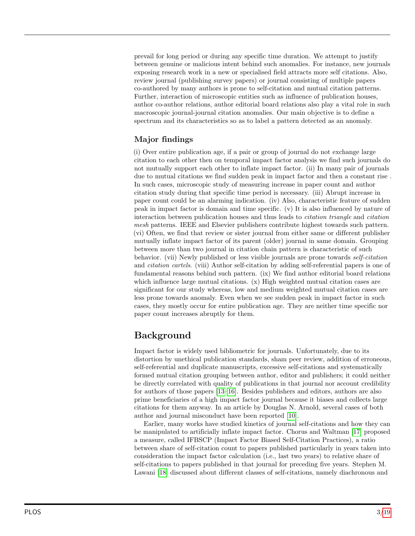prevail for long period or during any specific time duration. We attempt to justify between genuine or malicious intent behind such anomalies. For instance, new journals exposing research work in a new or specialised field attracts more self citations. Also, review journal (publishing survey papers) or journal consisting of multiple papers co-authored by many authors is prone to self-citation and mutual citation patterns. Further, interaction of microscopic entities such as influence of publication houses, author co-author relations, author editorial board relations also play a vital role in such macroscopic journal-journal citation anomalies. Our main objective is to define a spectrum and its characteristics so as to label a pattern detected as an anomaly.

## Major findings

(i) Over entire publication age, if a pair or group of journal do not exchange large citation to each other then on temporal impact factor analysis we find such journals do not mutually support each other to inflate impact factor. (ii) In many pair of journals due to mutual citations we find sudden peak in impact factor and then a constant rise . In such cases, microscopic study of measuring increase in paper count and author citation study during that specific time period is necessary. (iii) Abrupt increase in paper count could be an alarming indication. (iv) Also, characteristic feature of sudden peak in impact factor is domain and time specific. (v) It is also influenced by nature of interaction between publication houses and thus leads to citation triangle and citation mesh patterns. IEEE and Elsevier publishers contribute highest towards such pattern. (vi) Often, we find that review or sister journal from either same or different publisher mutually inflate impact factor of its parent (older) journal in same domain. Grouping between more than two journal in citation chain pattern is characteristic of such behavior. (vii) Newly published or less visible journals are prone towards self-citation and citation cartels. (viii) Author self-citation by adding self-referential papers is one of fundamental reasons behind such pattern. (ix) We find author editorial board relations which influence large mutual citations. (x) High weighted mutual citation cases are significant for our study whereas, low and medium weighted mutual citation cases are less prone towards anomaly. Even when we see sudden peak in impact factor in such cases, they mostly occur for entire publication age. They are neither time specific nor paper count increases abruptly for them.

# Background

Impact factor is widely used bibliometric for journals. Unfortunately, due to its distortion by unethical publication standards, sham peer review, addition of erroneous, self-referential and duplicate manuscripts, excessive self-citations and systematically formed mutual citation grouping between author, editor and publishers; it could neither be directly correlated with quality of publications in that journal nor account credibility for authors of those papers [\[13](#page-17-4)[–16\]](#page-17-5). Besides publishers and editors, authors are also prime beneficiaries of a high impact factor journal because it biases and collects large citations for them anyway. In an article by Douglas N. Arnold, several cases of both author and journal misconduct have been reported [\[10\]](#page-17-1).

Earlier, many works have studied kinetics of journal self-citations and how they can be manipulated to artificially inflate impact factor. Chorus and Waltman [\[17\]](#page-17-6) proposed a measure, called IFBSCP (Impact Factor Biased Self-Citation Practices), a ratio between share of self-citation count to papers published particularly in years taken into consideration the impact factor calculation (i.e., last two years) to relative share of self-citations to papers published in that journal for preceding five years. Stephen M. Lawani [\[18\]](#page-17-7) discussed about different classes of self-citations, namely diachronous and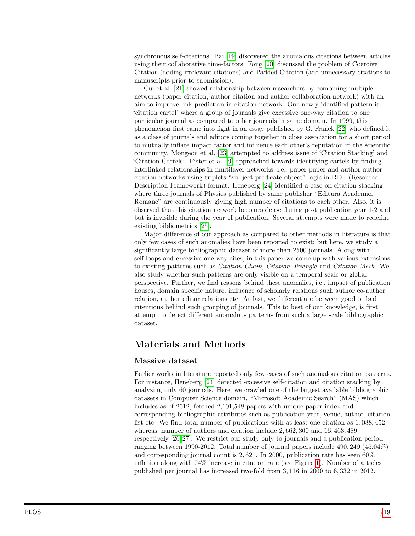synchronous self-citations. Bai [\[19\]](#page-17-8) discovered the anomalous citations between articles using their collaborative time-factors. Fong [\[20\]](#page-17-9) discussed the problem of Coercive Citation (adding irrelevant citations) and Padded Citation (add unnecessary citations to manuscripts prior to submission).

Cui et al. [\[21\]](#page-17-10) showed relationship between researchers by combining multiple networks (paper citation, author citation and author collaboration network) with an aim to improve link prediction in citation network. One newly identified pattern is 'citation cartel' where a group of journals give excessive one-way citation to one particular journal as compared to other journals in same domain. In 1999, this phenomenon first came into light in an essay published by G. Franck [\[22\]](#page-17-11) who defined it as a class of journals and editors coming together in close association for a short period to mutually inflate impact factor and influence each other's reputation in the scientific community. Mongeon et al. [\[23\]](#page-17-12) attempted to address issue of 'Citation Stacking' and 'Citation Cartels'. Fister et al. [\[9\]](#page-17-0) approached towards identifying cartels by finding interlinked relationships in multilayer networks, i.e., paper-paper and author-author citation networks using triplets "subject-predicate-object" logic in RDF (Resource Description Framework) format. Heneberg [\[24\]](#page-17-13) identified a case on citation stacking where three journals of Physics published by same publisher "Editura Academiei Romane" are continuously giving high number of citations to each other. Also, it is observed that this citation network becomes dense during post publication year 1-2 and but is invisible during the year of publication. Several attempts were made to redefine existing bibliometrics [\[25\]](#page-17-14).

Major difference of our approach as compared to other methods in literature is that only few cases of such anomalies have been reported to exist; but here, we study a significantly large bibliographic dataset of more than 2500 journals. Along with self-loops and excessive one way cites, in this paper we come up with various extensions to existing patterns such as Citation Chain, Citation Triangle and Citation Mesh. We also study whether such patterns are only visible on a temporal scale or global perspective. Further, we find reasons behind these anomalies, i.e., impact of publication houses, domain specific nature, influence of scholarly relations such author co-author relation, author editor relations etc. At last, we differentiate between good or bad intentions behind such grouping of journals. This to best of our knowledge, is first attempt to detect different anomalous patterns from such a large scale bibliographic dataset.

# Materials and Methods

### Massive dataset

Earlier works in literature reported only few cases of such anomalous citation patterns. For instance, Heneberg [\[24\]](#page-17-13) detected excessive self-citation and citation stacking by analyzing only 60 journals. Here, we crawled one of the largest available bibliographic datasets in Computer Science domain, "Microsoft Academic Search" (MAS) which includes as of 2012, fetched 2,101,548 papers with unique paper index and corresponding bibliographic attributes such as publication year, venue, author, citation list etc. We find total number of publications with at least one citation as 1, 088, 452 whereas, number of authors and citation include 2, 662, 300 and 16, 463, 489 respectively [\[26,](#page-18-1) [27\]](#page-18-2). We restrict our study only to journals and a publication period ranging between 1990-2012. Total number of journal papers include 490, 249 (45.04%) and corresponding journal count is  $2,621$ . In 2000, publication rate has seen 60% inflation along with 74% increase in citation rate (see Figure [1\)](#page-4-0). Number of articles published per journal has increased two-fold from 3, 116 in 2000 to 6, 332 in 2012.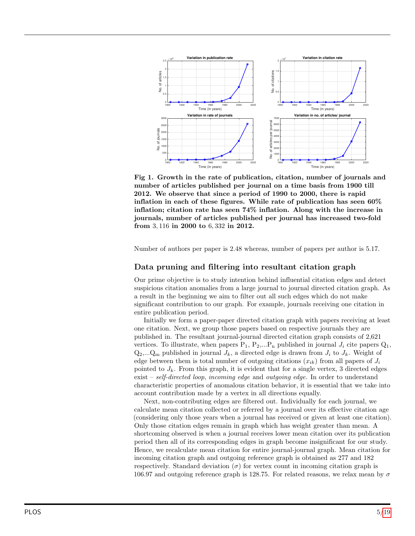<span id="page-4-0"></span>

Fig 1. Growth in the rate of publication, citation, number of journals and number of articles published per journal on a time basis from 1900 till 2012. We observe that since a period of 1990 to 2000, there is rapid inflation in each of these figures. While rate of publication has seen 60% inflation; citation rate has seen 74% inflation. Along with the increase in journals, number of articles published per journal has increased two-fold from 3, 116 in 2000 to 6, 332 in 2012.

Number of authors per paper is 2.48 whereas, number of papers per author is 5.17.

#### Data pruning and filtering into resultant citation graph

Our prime objective is to study intention behind influential citation edges and detect suspicious citation anomalies from a large journal to journal directed citation graph. As a result in the beginning we aim to filter out all such edges which do not make significant contribution to our graph. For example, journals receiving one citation in entire publication period.

Initially we form a paper-paper directed citation graph with papers receiving at least one citation. Next, we group those papers based on respective journals they are published in. The resultant journal-journal directed citation graph consists of 2,621 vertices. To illustrate, when papers  $P_1$ ,  $P_2$ ,... $P_n$  published in journal  $J_i$  cite papers  $Q_1$ ,  $Q_2,...Q_m$  published in journal  $J_k$ , a directed edge is drawn from  $J_i$  to  $J_k$ . Weight of edge between them is total number of outgoing citations  $(x_{ik})$  from all papers of  $J_i$ pointed to  $J_k$ . From this graph, it is evident that for a single vertex, 3 directed edges  $ext - self-directed loop, incoming edge and outgoing edge. In order to understand$ characteristic properties of anomalous citation behavior, it is essential that we take into account contribution made by a vertex in all directions equally.

Next, non-contributing edges are filtered out. Individually for each journal, we calculate mean citation collected or referred by a journal over its effective citation age (considering only those years when a journal has received or given at least one citation). Only those citation edges remain in graph which has weight greater than mean. A shortcoming observed is when a journal receives lower mean citation over its publication period then all of its corresponding edges in graph become insignificant for our study. Hence, we recalculate mean citation for entire journal-journal graph. Mean citation for incoming citation graph and outgoing reference graph is obtained as 277 and 182 respectively. Standard deviation ( $\sigma$ ) for vertex count in incoming citation graph is 106.97 and outgoing reference graph is 128.75. For related reasons, we relax mean by  $\sigma$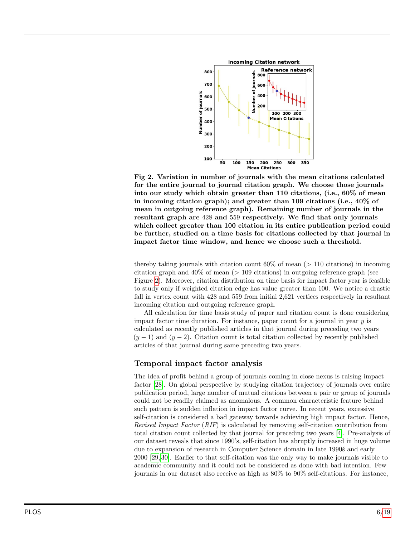<span id="page-5-0"></span>

Fig 2. Variation in number of journals with the mean citations calculated for the entire journal to journal citation graph. We choose those journals into our study which obtain greater than 110 citations, (i.e., 60% of mean in incoming citation graph); and greater than 109 citations (i.e., 40% of mean in outgoing reference graph). Remaining number of journals in the resultant graph are 428 and 559 respectively. We find that only journals which collect greater than 100 citation in its entire publication period could be further, studied on a time basis for citations collected by that journal in impact factor time window, and hence we choose such a threshold.

thereby taking journals with citation count  $60\%$  of mean ( $> 110$  citations) in incoming citation graph and  $40\%$  of mean ( $> 109$  citations) in outgoing reference graph (see Figure [2\)](#page-5-0). Moreover, citation distribution on time basis for impact factor year is feasible to study only if weighted citation edge has value greater than 100. We notice a drastic fall in vertex count with 428 and 559 from initial 2,621 vertices respectively in resultant incoming citation and outgoing reference graph.

All calculation for time basis study of paper and citation count is done considering impact factor time duration. For instance, paper count for a journal in year  $y$  is calculated as recently published articles in that journal during preceding two years  $(y-1)$  and  $(y-2)$ . Citation count is total citation collected by recently published articles of that journal during same preceding two years.

### Temporal impact factor analysis

The idea of profit behind a group of journals coming in close nexus is raising impact factor [\[28\]](#page-18-3). On global perspective by studying citation trajectory of journals over entire publication period, large number of mutual citations between a pair or group of journals could not be readily claimed as anomalous. A common characteristic feature behind such pattern is sudden inflation in impact factor curve. In recent years, excessive self-citation is considered a bad gateway towards achieving high impact factor. Hence, Revised Impact Factor (RIF) is calculated by removing self-citation contribution from total citation count collected by that journal for preceding two years [\[4\]](#page-16-2). Pre-analysis of our dataset reveals that since 1990's, self-citation has abruptly increased in huge volume due to expansion of research in Computer Science domain in late 1990s and early 2000 [\[29,](#page-18-4) [30\]](#page-18-5). Earlier to that self-citation was the only way to make journals visible to academic community and it could not be considered as done with bad intention. Few journals in our dataset also receive as high as 80% to 90% self-citations. For instance,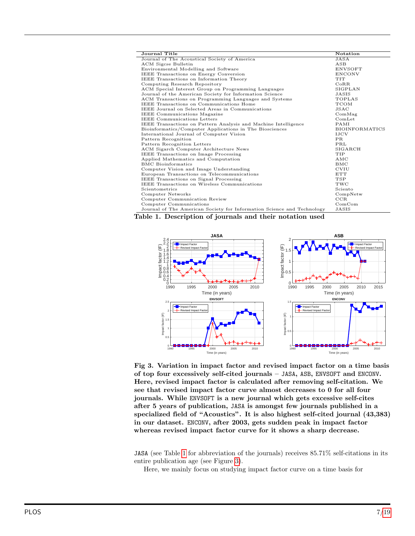<span id="page-6-0"></span>

| Journal Title                                                          | <b>Notation</b>       |
|------------------------------------------------------------------------|-----------------------|
| Journal of The Acoustical Society of America                           | JASA                  |
| <b>ACM</b> Sigcse Bulletin                                             | $\mathbf{ASB}$        |
| Environmental Modelling and Software                                   | <b>ENVSOFT</b>        |
| IEEE Transactions on Energy Conversion                                 | <b>ENCONV</b>         |
| IEEE Transactions on Information Theory                                | <b>TIT</b>            |
| Computing Research Repository                                          | CoRR                  |
| ACM Special Interest Group on Programming Languages                    | SIGPLAN               |
| Journal of the American Society for Information Science                | JASIS                 |
| ACM Transactions on Programming Languages and Systems                  | <b>TOPLAS</b>         |
| <b>IEEE</b> Transactions on Communications Home                        | TCOM                  |
| IEEE Journal on Selected Areas in Communications                       | JSAC                  |
| <b>IEEE</b> Communications Magazine                                    | ComMag                |
| <b>IEEE</b> Communications Letters                                     | ComLet                |
| IEEE Transactions on Pattern Analysis and Machine Intelligence         | <b>PAMI</b>           |
| Bioinformatics/Computer Applications in The Biosciences                | <b>BIOINFORMATICS</b> |
| International Journal of Computer Vision                               | <b>IJCV</b>           |
| Pattern Recognition                                                    | PR                    |
| Pattern Recognition Letters                                            | $\rm PRL$             |
| ACM Sigarch Computer Architecture News                                 | SIGARCH               |
| IEEE Transactions on Image Processing                                  | <b>TIP</b>            |
| Applied Mathematics and Computation                                    | AMC                   |
| <b>BMC</b> Bioinformatics                                              | BMC                   |
| Computer Vision and Image Understanding                                | <b>CVIU</b>           |
| European Transactions on Telecommunications                            | <b>ETT</b>            |
| IEEE Transactions on Signal Processing                                 | TSP                   |
| IEEE Transactions on Wireless Communications                           | TWC                   |
| Scientometrics                                                         | Sciento               |
| Computer Networks                                                      | CompNetw              |
| Computer Communication Review                                          | CCR                   |
| Computer Communications                                                | ComCom                |
| Journal of The American Society for Information Science and Technology | JASIS                 |

Table 1. Description of journals and their notation used

<span id="page-6-1"></span>

Fig 3. Variation in impact factor and revised impact factor on a time basis of top four excessively self-cited journals – JASA, ASB, ENVSOFT and ENCONV. Here, revised impact factor is calculated after removing self-citation. We see that revised impact factor curve almost decreases to 0 for all four journals. While ENVSOFT is a new journal which gets excessive self-cites after 5 years of publication, JASA is amongst few journals published in a specialized field of "Acoustics". It is also highest self-cited journal (43,383) in our dataset. ENCONV, after 2003, gets sudden peak in impact factor whereas revised impact factor curve for it shows a sharp decrease.

JASA (see Table [1](#page-6-0) for abbreviation of the journals) receives 85.71% self-citations in its entire publication age (see Figure [3\)](#page-6-1).

Here, we mainly focus on studying impact factor curve on a time basis for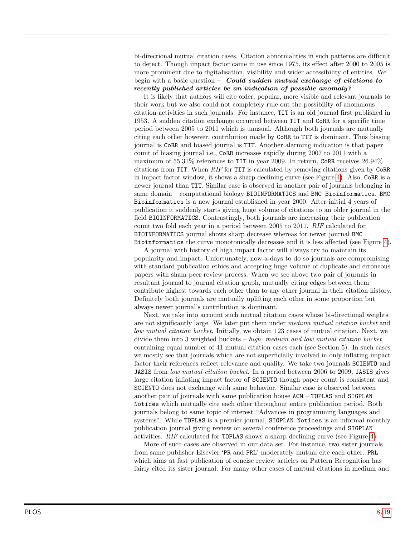bi-directional mutual citation cases. Citation abnormalities in such patterns are difficult to detect. Though impact factor came in use since 1975, its effect after 2000 to 2005 is more prominent due to digitalisation, visibility and wider accessibility of entities. We begin with a basic question – Could sudden mutual exchange of citations to recently published articles be an indication of possible anomaly?

It is likely that authors will cite older, popular, more visible and relevant journals to their work but we also could not completely rule out the possibility of anomalous citation activities in such journals. For instance, TIT is an old journal first published in 1953. A sudden citation exchange occurred between TIT and CoRR for a specific time period between 2005 to 2011 which is unusual. Although both journals are mutually citing each other however, contribution made by CoRR to TIT is dominant. Thus biasing journal is CoRR and biased journal is TIT. Another alarming indication is that paper count of biasing journal i.e., CoRR increases rapidly during 2007 to 2011 with a maximum of  $55.31\%$  references to TIT in year 2009. In return, CoRR receives  $26.94\%$ citations from TIT. When RIF for TIT is calculated by removing citations given by CoRR in impact factor window, it shows a sharp declining curve (see Figure [4\)](#page-8-0). Also, CoRR is a newer journal than TIT. Similar case is observed in another pair of journals belonging in same domain – computational biology BIOINFORMATICS and BMC Bioinformatics. BMC Bioinformatics is a new journal established in year 2000. After initial 4 years of publication it suddenly starts giving huge volume of citations to an older journal in the field BIOINFORMATICS. Contrastingly, both journals are increasing their publication count two fold each year in a period between 2005 to 2011. RIF calculated for BIOINFORMATICS journal shows sharp decrease whereas for newer journal BMC Bioinformatics the curve monotonically decreases and it is less affected (see Figure [4\)](#page-8-0).

A journal with history of high impact factor will always try to maintain its popularity and impact. Unfortunately, now-a-days to do so journals are compromising with standard publication ethics and accepting huge volume of duplicate and erroneous papers with sham peer review process. When we see above two pair of journals in resultant journal to journal citation graph, mutually citing edges between them contribute highest towards each other than to any other journal in their citation history. Definitely both journals are mutually uplifting each other in some proportion but always newer journal's contribution is dominant.

Next, we take into account such mutual citation cases whose bi-directional weights are not significantly large. We later put them under medium mutual citation bucket and low mutual citation bucket. Initially, we obtain 123 cases of mutual citation. Next, we divide them into 3 weighted buckets – high, medium and low mutual citation bucket containing equal number of 41 mutual citation cases each (see Section 5). In such cases we mostly see that journals which are not superficially involved in only inflating impact factor their references reflect relevance and quality. We take two journals SCIENTO and JASIS from low mutual citation bucket. In a period between 2006 to 2009, JASIS gives large citation inflating impact factor of SCIENTO though paper count is consistent and SCIENTO does not exchange with same behavior. Similar case is observed between another pair of journals with same publication house ACM – TOPLAS and SIGPLAN Notices which mutually cite each other throughout entire publication period. Both journals belong to same topic of interest "Advances in programming languages and systems". While TOPLAS is a premier journal, SIGPLAN Notices is an informal monthly publication journal giving review on several conference proceedings and SIGPLAN activities. RIF calculated for TOPLAS shows a sharp declining curve (see Figure [4\)](#page-8-0).

More of such cases are observed in our data set. For instance, two sister journals from same publisher Elsevier 'PR and PRL' moderately mutual cite each other. PRL which aims at fast publication of concise review articles on Pattern Recognition has fairly cited its sister journal. For many other cases of mutual citations in medium and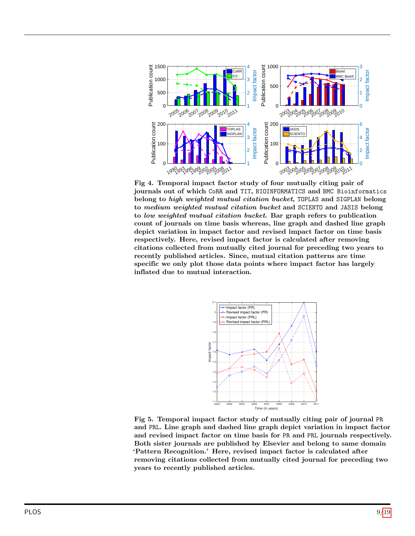<span id="page-8-0"></span>

Fig 4. Temporal impact factor study of four mutually citing pair of journals out of which CoRR and TIT, BIOINFORMATICS and BMC Bioinformatics belong to high weighted mutual citation bucket, TOPLAS and SIGPLAN belong to medium weighted mutual citation bucket and SCIENTO and JASIS belong to low weighted mutual citation bucket. Bar graph refers to publication count of journals on time basis whereas, line graph and dashed line graph depict variation in impact factor and revised impact factor on time basis respectively. Here, revised impact factor is calculated after removing citations collected from mutually cited journal for preceding two years to recently published articles. Since, mutual citation patterns are time specific we only plot those data points where impact factor has largely inflated due to mutual interaction.

<span id="page-8-1"></span>

Fig 5. Temporal impact factor study of mutually citing pair of journal PR and PRL. Line graph and dashed line graph depict variation in impact factor and revised impact factor on time basis for PR and PRL journals respectively. Both sister journals are published by Elsevier and belong to same domain 'Pattern Recognition.' Here, revised impact factor is calculated after removing citations collected from mutually cited journal for preceding two years to recently published articles.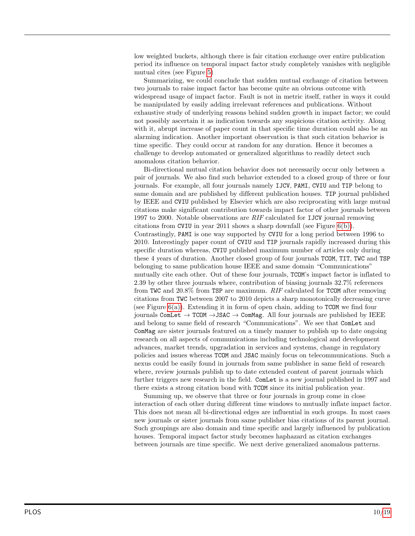low weighted buckets, although there is fair citation exchange over entire publication period its influence on temporal impact factor study completely vanishes with negligible mutual cites (see Figure [5\)](#page-8-1)

Summarizing, we could conclude that sudden mutual exchange of citation between two journals to raise impact factor has become quite an obvious outcome with widespread usage of impact factor. Fault is not in metric itself, rather in ways it could be manipulated by easily adding irrelevant references and publications. Without exhaustive study of underlying reasons behind sudden growth in impact factor; we could not possibly ascertain it as indication towards any suspicious citation activity. Along with it, abrupt increase of paper count in that specific time duration could also be an alarming indication. Another important observation is that such citation behavior is time specific. They could occur at random for any duration. Hence it becomes a challenge to develop automated or generalized algorithms to readily detect such anomalous citation behavior.

Bi-directional mutual citation behavior does not necessarily occur only between a pair of journals. We also find such behavior extended to a closed group of three or four journals. For example, all four journals namely IJCV, PAMI, CVIU and TIP belong to same domain and are published by different publication houses. TIP journal published by IEEE and CVIU published by Elsevier which are also reciprocating with large mutual citations make significant contribution towards impact factor of other journals between 1997 to 2000. Notable observations are  $RIF$  calculated for **IJCV** journal removing citations from CVIU in year 2011 shows a sharp downfall (see Figure  $6(b)$ ). Contrastingly, PAMI is one way supported by CVIU for a long period between 1996 to 2010. Interestingly paper count of CVIU and TIP journals rapidly increased during this specific duration whereas, CVIU published maximum number of articles only during these 4 years of duration. Another closed group of four journals TCOM, TIT, TWC and TSP belonging to same publication house IEEE and same domain "Communications" mutually cite each other. Out of these four journals, TCOM's impact factor is inflated to 2.39 by other three journals where, contribution of biasing journals 32.7% references from TWC and 20.8% from TSP are maximum. RIF calculated for TCOM after removing citations from TWC between 2007 to 2010 depicts a sharp monotonically decreasing curve (see Figure  $6(a)$ ). Extending it in form of open chain, adding to TCOM we find four journals ComLet  $\rightarrow$  TCOM  $\rightarrow$  JSAC  $\rightarrow$  ComMag. All four journals are published by IEEE and belong to same field of research "Communications". We see that ComLet and ComMag are sister journals featured on a timely manner to publish up to date ongoing research on all aspects of communications including technological and development advances, market trends, upgradation in services and systems, change in regulatory policies and issues whereas TCOM and JSAC mainly focus on telecommunications. Such a nexus could be easily found in journals from same publisher in same field of research where, review journals publish up to date extended content of parent journals which further triggers new research in the field. ComLet is a new journal published in 1997 and there exists a strong citation bond with TCOM since its initial publication year.

Summing up, we observe that three or four journals in group come in close interaction of each other during different time windows to mutually inflate impact factor. This does not mean all bi-directional edges are influential in such groups. In most cases new journals or sister journals from same publisher bias citations of its parent journal. Such groupings are also domain and time specific and largely influenced by publication houses. Temporal impact factor study becomes haphazard as citation exchanges between journals are time specific. We next derive generalized anomalous patterns.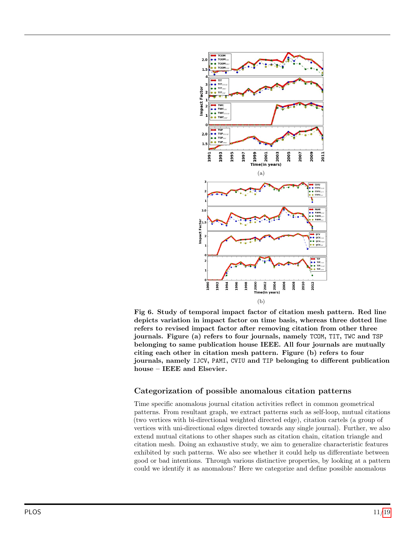<span id="page-10-0"></span>

Fig 6. Study of temporal impact factor of citation mesh pattern. Red line depicts variation in impact factor on time basis, whereas three dotted line refers to revised impact factor after removing citation from other three journals. Figure (a) refers to four journals, namely TCOM, TIT, TWC and TSP belonging to same publication house IEEE. All four journals are mutually citing each other in citation mesh pattern. Figure (b) refers to four journals, namely IJCV, PAMI, CVIU and TIP belonging to different publication house – IEEE and Elsevier.

### Categorization of possible anomalous citation patterns

Time specific anomalous journal citation activities reflect in common geometrical patterns. From resultant graph, we extract patterns such as self-loop, mutual citations (two vertices with bi-directional weighted directed edge), citation cartels (a group of vertices with uni-directional edges directed towards any single journal). Further, we also extend mutual citations to other shapes such as citation chain, citation triangle and citation mesh. Doing an exhaustive study, we aim to generalize characteristic features exhibited by such patterns. We also see whether it could help us differentiate between good or bad intentions. Through various distinctive properties, by looking at a pattern could we identify it as anomalous? Here we categorize and define possible anomalous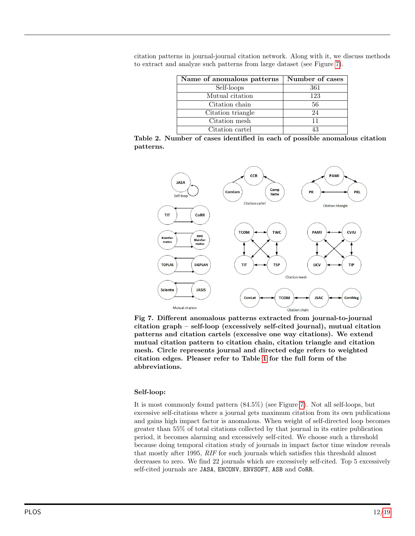| Name of anomalous patterns | Number of cases |
|----------------------------|-----------------|
| Self-loops                 | 361             |
| Mutual citation            | 123             |
| Citation chain             | 56              |
| Citation triangle          | 24              |
| Citation mesh              | 11              |
| Citation cartel            |                 |

citation patterns in journal-journal citation network. Along with it, we discuss methods to extract and analyze such patterns from large dataset (see Figure [7\)](#page-11-0).

Table 2. Number of cases identified in each of possible anomalous citation patterns.

<span id="page-11-0"></span>

Fig 7. Different anomalous patterns extracted from journal-to-journal citation graph – self-loop (excessively self-cited journal), mutual citation patterns and citation cartels (excessive one way citations). We extend mutual citation pattern to citation chain, citation triangle and citation mesh. Circle represents journal and directed edge refers to weighted citation edges. Pleaser refer to Table [1](#page-6-0) for the full form of the abbreviations.

#### Self-loop:

It is most commonly found pattern (84.5%) (see Figure [7\)](#page-11-0). Not all self-loops, but excessive self-citations where a journal gets maximum citation from its own publications and gains high impact factor is anomalous. When weight of self-directed loop becomes greater than 55% of total citations collected by that journal in its entire publication period, it becomes alarming and excessively self-cited. We choose such a threshold because doing temporal citation study of journals in impact factor time window reveals that mostly after 1995, RIF for such journals which satisfies this threshold almost decreases to zero. We find 22 journals which are excessively self-cited. Top 5 excessively self-cited journals are JASA, ENCONV, ENVSOFT, ASB and CoRR.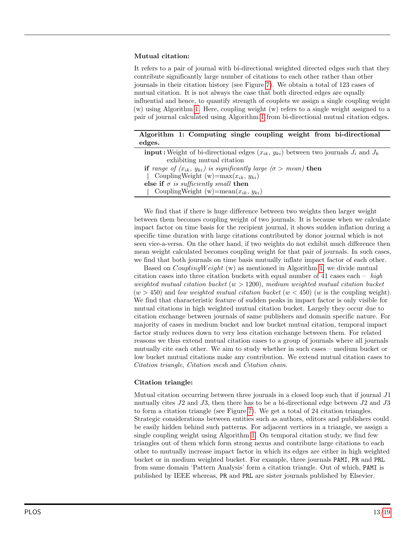#### Mutual citation:

It refers to a pair of journal with bi-directional weighted directed edges such that they contribute significantly large number of citations to each other rather than other journals in their citation history (see Figure [7\)](#page-11-0). We obtain a total of 123 cases of mutual citation. It is not always the case that both directed edges are equally influential and hence, to quantify strength of couplets we assign a single coupling weight (w) using Algorithm [1.](#page-12-0) Here, coupling weight (w) refers to a single weight assigned to a pair of journal calculated using Algorithm [1](#page-12-0) from bi-directional mutual citation edges.

#### Algorithm 1: Computing single coupling weight from bi-directional edges.

| <b>input:</b> Weight of bi-directional edges $(x_{ik}, y_{ki})$ between two journals $J_i$ and $J_k$ |  |
|------------------------------------------------------------------------------------------------------|--|
| exhibiting mutual citation                                                                           |  |
| if range of $(x_{ik}, y_{ki})$ is significantly large ( $\sigma >$ mean) then                        |  |
| Coupling Weight (w)=max $(x_{ik}, y_{ki})$                                                           |  |
| else if $\sigma$ is sufficiently small then                                                          |  |
| Coupling Weight (w)=mean $(x_{ik}, y_{ki})$                                                          |  |

<span id="page-12-0"></span>We find that if there is huge difference between two weights then larger weight between them becomes coupling weight of two journals. It is because when we calculate impact factor on time basis for the recipient journal, it shows sudden inflation during a specific time duration with large citations contributed by donor journal which is not seen vice-a-versa. On the other hand, if two weights do not exhibit much difference then mean weight calculated becomes coupling weight for that pair of journals. In such cases, we find that both journals on time basis mutually inflate impact factor of each other.

Based on  $Coupling Weight$  (w) as mentioned in Algorithm [1,](#page-12-0) we divide mutual citation cases into three citation buckets with equal number of 41 cases each – high weighted mutual citation bucket  $(w > 1200)$ , medium weighted mutual citation bucket  $(w > 450)$  and low weighted mutual citation bucket  $(w < 450)$  (w is the coupling weight). We find that characteristic feature of sudden peaks in impact factor is only visible for mutual citations in high weighted mutual citation bucket. Largely they occur due to citation exchange between journals of same publishers and domain specific nature. For majority of cases in medium bucket and low bucket mutual citation, temporal impact factor study reduces down to very less citation exchange between them. For related reasons we thus extend mutual citation cases to a group of journals where all journals mutually cite each other. We aim to study whether in such cases – medium bucket or low bucket mutual citations make any contribution. We extend mutual citation cases to Citation triangle, Citation mesh and Citation chain.

#### Citation triangle:

Mutual citation occurring between three journals in a closed loop such that if journal J1 mutually cites  $J2$  and  $J3$ , then there has to be a bi-directional edge between  $J2$  and  $J3$ to form a citation triangle (see Figure [7\)](#page-11-0). We get a total of 24 citation triangles. Strategic considerations between entities such as authors, editors and publishers could be easily hidden behind such patterns. For adjacent vertices in a triangle, we assign a single coupling weight using Algorithm [1.](#page-12-0) On temporal citation study, we find few triangles out of them which form strong nexus and contribute large citations to each other to mutually increase impact factor in which its edges are either in high weighted bucket or in medium weighted bucket. For example, three journals PAMI, PR and PRL from same domain 'Pattern Analysis' form a citation triangle. Out of which, PAMI is published by IEEE whereas, PR and PRL are sister journals published by Elsevier.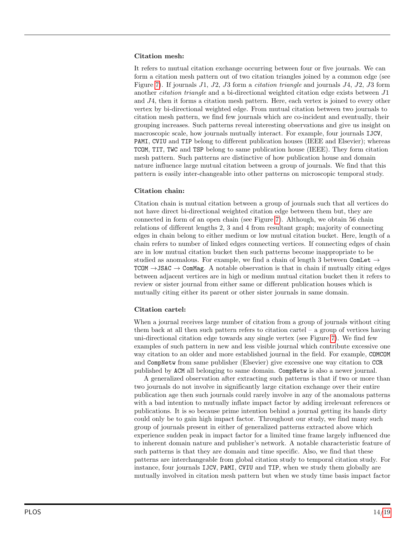#### Citation mesh:

It refers to mutual citation exchange occurring between four or five journals. We can form a citation mesh pattern out of two citation triangles joined by a common edge (see Figure [7\)](#page-11-0). If journals  $J_1$ ,  $J_2$ ,  $J_3$  form a *citation triangle* and journals  $J_4$ ,  $J_2$ ,  $J_3$  form another *citation triangle* and a bi-directional weighted citation edge exists between  $J1$ and J4, then it forms a citation mesh pattern. Here, each vertex is joined to every other vertex by bi-directional weighted edge. From mutual citation between two journals to citation mesh pattern, we find few journals which are co-incident and eventually, their grouping increases. Such patterns reveal interesting observations and give us insight on macroscopic scale, how journals mutually interact. For example, four journals IJCV, PAMI, CVIU and TIP belong to different publication houses (IEEE and Elsevier); whereas TCOM, TIT, TWC and TSP belong to same publication house (IEEE). They form citation mesh pattern. Such patterns are distinctive of how publication house and domain nature influence large mutual citation between a group of journals. We find that this pattern is easily inter-changeable into other patterns on microscopic temporal study.

#### Citation chain:

Citation chain is mutual citation between a group of journals such that all vertices do not have direct bi-directional weighted citation edge between them but, they are connected in form of an open chain (see Figure [7\)](#page-11-0). Although, we obtain 56 chain relations of different lengths 2, 3 and 4 from resultant graph; majority of connecting edges in chain belong to either medium or low mutual citation bucket. Here, length of a chain refers to number of linked edges connecting vertices. If connecting edges of chain are in low mutual citation bucket then such patterns become inappropriate to be studied as anomalous. For example, we find a chain of length 3 between ComLet  $\rightarrow$ TCOM  $\rightarrow$  JSAC  $\rightarrow$  ComMag. A notable observation is that in chain if mutually citing edges between adjacent vertices are in high or medium mutual citation bucket then it refers to review or sister journal from either same or different publication houses which is mutually citing either its parent or other sister journals in same domain.

#### Citation cartel:

When a journal receives large number of citation from a group of journals without citing them back at all then such pattern refers to citation cartel – a group of vertices having uni-directional citation edge towards any single vertex (see Figure [7\)](#page-11-0). We find few examples of such pattern in new and less visible journal which contribute excessive one way citation to an older and more established journal in the field. For example, COMCOM and CompNetw from same publisher (Elsevier) give excessive one way citation to CCR published by ACM all belonging to same domain. CompNetw is also a newer journal.

A generalized observation after extracting such patterns is that if two or more than two journals do not involve in significantly large citation exchange over their entire publication age then such journals could rarely involve in any of the anomalous patterns with a bad intention to mutually inflate impact factor by adding irrelevant references or publications. It is so because prime intention behind a journal getting its hands dirty could only be to gain high impact factor. Throughout our study, we find many such group of journals present in either of generalized patterns extracted above which experience sudden peak in impact factor for a limited time frame largely influenced due to inherent domain nature and publisher's network. A notable characteristic feature of such patterns is that they are domain and time specific. Also, we find that these patterns are interchangeable from global citation study to temporal citation study. For instance, four journals IJCV, PAMI, CVIU and TIP, when we study them globally are mutually involved in citation mesh pattern but when we study time basis impact factor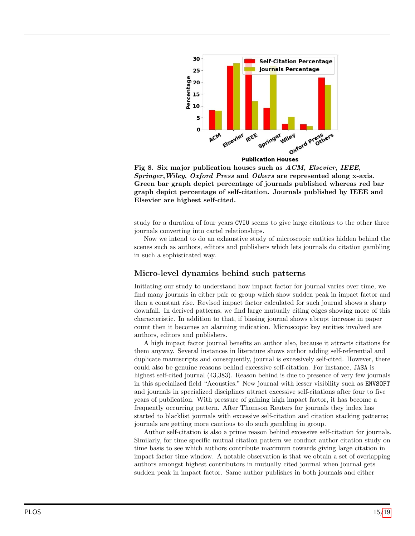<span id="page-14-0"></span>

Fig 8. Six major publication houses such as ACM, Elsevier, IEEE, Springer,Wiley, Oxford Press and Others are represented along x-axis. Green bar graph depict percentage of journals published whereas red bar graph depict percentage of self-citation. Journals published by IEEE and Elsevier are highest self-cited.

study for a duration of four years CVIU seems to give large citations to the other three journals converting into cartel relationships.

Now we intend to do an exhaustive study of microscopic entities hidden behind the scenes such as authors, editors and publishers which lets journals do citation gambling in such a sophisticated way.

### Micro-level dynamics behind such patterns

Initiating our study to understand how impact factor for journal varies over time, we find many journals in either pair or group which show sudden peak in impact factor and then a constant rise. Revised impact factor calculated for such journal shows a sharp downfall. In derived patterns, we find large mutually citing edges showing more of this characteristic. In addition to that, if biasing journal shows abrupt increase in paper count then it becomes an alarming indication. Microscopic key entities involved are authors, editors and publishers.

A high impact factor journal benefits an author also, because it attracts citations for them anyway. Several instances in literature shows author adding self-referential and duplicate manuscripts and consequently, journal is excessively self-cited. However, there could also be genuine reasons behind excessive self-citation. For instance, JASA is highest self-cited journal (43,383). Reason behind is due to presence of very few journals in this specialized field "Acoustics." New journal with lesser visibility such as ENVSOFT and journals in specialized disciplines attract excessive self-citations after four to five years of publication. With pressure of gaining high impact factor, it has become a frequently occurring pattern. After Thomson Reuters for journals they index has started to blacklist journals with excessive self-citation and citation stacking patterns; journals are getting more cautious to do such gambling in group.

Author self-citation is also a prime reason behind excessive self-citation for journals. Similarly, for time specific mutual citation pattern we conduct author citation study on time basis to see which authors contribute maximum towards giving large citation in impact factor time window. A notable observation is that we obtain a set of overlapping authors amongst highest contributors in mutually cited journal when journal gets sudden peak in impact factor. Same author publishes in both journals and either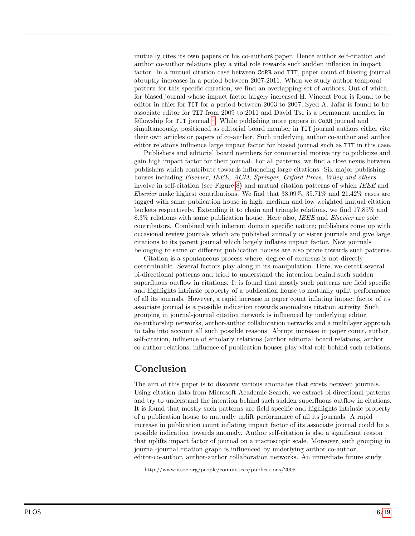mutually cites its own papers or his co-author's paper. Hence author self-citation and author co-author relations play a vital role towards such sudden inflation in impact factor. In a mutual citation case between CoRR and TIT, paper count of biasing journal abruptly increases in a period between 2007-2011. When we study author temporal pattern for this specific duration, we find an overlapping set of authors; Out of which, for biased journal whose impact factor largely increased H. Vincent Poor is found to be editor in chief for TIT for a period between 2003 to 2007, Syed A. Jafar is found to be associate editor for TIT from 2009 to 2011 and David Tse is a permanent member in fellowship for TIT journal <sup>[1](#page-15-0)</sup>. While publishing more papers in CoRR journal and simultaneously, positioned as editorial board member in TIT journal authors either cite their own articles or papers of co-author. Such underlying author co-author and author editor relations influence large impact factor for biased journal such as TIT in this case.

Publishers and editorial board members for commercial motive try to publicize and gain high impact factor for their journal. For all patterns, we find a close nexus between publishers which contribute towards influencing large citations. Six major publishing houses including *Elsevier, IEEE, ACM, Springer, Oxford Press, Wiley and others* involve in self-citation (see Figure [8\)](#page-14-0) and mutual citation patterns of which IEEE and *Elsevier* make highest contributions. We find that  $38.09\%$ ,  $35.71\%$  and  $21.42\%$  cases are tagged with same publication house in high, medium and low weighted mutual citation buckets respectively. Extending it to chain and triangle relations, we find 17.85% and 8.3% relations with same publication house. Here also, *IEEE* and *Elsevier* are sole contributors. Combined with inherent domain specific nature; publishers come up with occasional review journals which are published annually or sister journals and give large citations to its parent journal which largely inflates impact factor. New journals belonging to same or different publication houses are also prone towards such patterns.

Citation is a spontaneous process where, degree of excursus is not directly determinable. Several factors play along in its manipulation. Here, we detect several bi-directional patterns and tried to understand the intention behind such sudden superfluous outflow in citations. It is found that mostly such patterns are field specific and highlights intrinsic property of a publication house to mutually uplift performance of all its journals. However, a rapid increase in paper count inflating impact factor of its associate journal is a possible indication towards anomalous citation activity. Such grouping in journal-journal citation network is influenced by underlying editor co-authorship networks, author-author collaboration networks and a multilayer approach to take into account all such possible reasons. Abrupt increase in paper count, author self-citation, influence of scholarly relations (author editorial board relations, author co-author relations, influence of publication houses play vital role behind such relations.

# Conclusion

The aim of this paper is to discover various anomalies that exists between journals. Using citation data from Microsoft Academic Search, we extract bi-directional patterns and try to understand the intention behind such sudden superfluous outflow in citations. It is found that mostly such patterns are field specific and highlights intrinsic property of a publication house to mutually uplift performance of all its journals. A rapid increase in publication count inflating impact factor of its associate journal could be a possible indication towards anomaly. Author self-citation is also a significant reason that uplifts impact factor of journal on a macroscopic scale. Moreover, such grouping in journal-journal citation graph is influenced by underlying author co-author, editor-co-author, author-author collaboration networks. An immediate future study

<span id="page-15-0"></span><sup>1</sup>http://www.itsoc.org/people/committees/publications/2005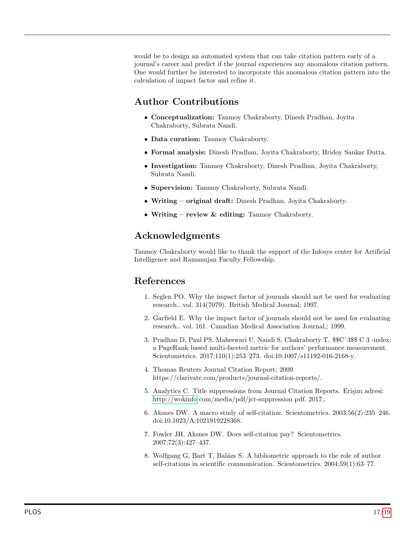would be to design an automated system that can take citation pattern early of a journal's career and predict if the journal experiences any anomalous citation pattern. One would further be interested to incorporate this anomalous citation pattern into the calculation of impact factor and refine it.

# Author Contributions

- Conceptualization: Tanmoy Chakraborty, Dinesh Pradhan, Joyita Chakraborty, Subrata Nandi.
- Data curation: Tanmoy Chakraborty.
- Formal analysis: Dinesh Pradhan, Joyita Chakraborty, Hridoy Sankar Dutta.
- Investigation: Tanmoy Chakraborty, Dinesh Pradhan, Joyita Chakraborty, Subrata Nandi.
- Supervision: Tanmoy Chakraborty, Subrata Nandi.
- Writing original draft: Dinesh Pradhan, Joyita Chakraborty.
- Writing review & editing: Tanmoy Chakraborty.

# Acknowledgments

Tanmoy Chakraborty would like to thank the support of the Infosys center for Artificial Intelligence and Ramanujan Faculty Fellowship.

## References

- <span id="page-16-0"></span>1. Seglen PO. Why the impact factor of journals should not be used for evaluating research.. vol. 314(7079). British Medical Journal; 1997.
- 2. Garfield E. Why the impact factor of journals should not be used for evaluating research.. vol. 161. Canadian Medical Association Journal,; 1999.
- <span id="page-16-1"></span>3. Pradhan D, Paul PS, Maheswari U, Nandi S, Chakraborty T. \$\$Cˆ3\$\$ C 3 -index: a PageRank based multi-faceted metric for authors' performance measurement. Scientometrics. 2017;110(1):253–273. doi:10.1007/s11192-016-2168-y.
- <span id="page-16-2"></span>4. Thomas Reuters Journal Citation Report; 2009. https://clarivate.com/products/journal-citation-reports/.
- <span id="page-16-3"></span>5. Analytics C. Title suppressions from Journal Citation Reports. Erişim adresi: <http://wokinfo>.com/media/pdf/jcr-suppression pdf. 2017;.
- <span id="page-16-4"></span>6. Aksnes DW. A macro study of self-citation. Scientometrics. 2003;56(2):235–246. doi:10.1023/A:1021919228368.
- 7. Fowler JH, Aksnes DW. Does self-citation pay? Scientometrics. 2007;72(3):427–437.
- <span id="page-16-5"></span>8. Wolfgang G, Bart T, Balázs S. A bibliometric approach to the role of author self-citations in scientific communication. Scientometrics. 2004;59(1):63–77.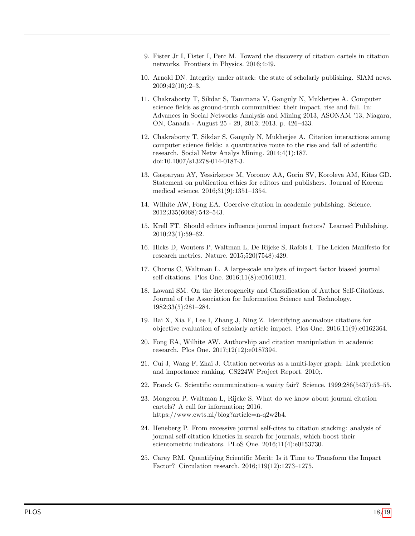- <span id="page-17-0"></span>9. Fister Jr I, Fister I, Perc M. Toward the discovery of citation cartels in citation networks. Frontiers in Physics. 2016;4:49.
- <span id="page-17-1"></span>10. Arnold DN. Integrity under attack: the state of scholarly publishing. SIAM news. 2009;42(10):2–3.
- <span id="page-17-2"></span>11. Chakraborty T, Sikdar S, Tammana V, Ganguly N, Mukherjee A. Computer science fields as ground-truth communities: their impact, rise and fall. In: Advances in Social Networks Analysis and Mining 2013, ASONAM '13, Niagara, ON, Canada - August 25 - 29, 2013; 2013. p. 426–433.
- <span id="page-17-3"></span>12. Chakraborty T, Sikdar S, Ganguly N, Mukherjee A. Citation interactions among computer science fields: a quantitative route to the rise and fall of scientific research. Social Netw Analys Mining. 2014;4(1):187. doi:10.1007/s13278-014-0187-3.
- <span id="page-17-4"></span>13. Gasparyan AY, Yessirkepov M, Voronov AA, Gorin SV, Koroleva AM, Kitas GD. Statement on publication ethics for editors and publishers. Journal of Korean medical science. 2016;31(9):1351–1354.
- 14. Wilhite AW, Fong EA. Coercive citation in academic publishing. Science. 2012;335(6068):542–543.
- 15. Krell FT. Should editors influence journal impact factors? Learned Publishing. 2010;23(1):59–62.
- <span id="page-17-5"></span>16. Hicks D, Wouters P, Waltman L, De Rijcke S, Rafols I. The Leiden Manifesto for research metrics. Nature. 2015;520(7548):429.
- <span id="page-17-6"></span>17. Chorus C, Waltman L. A large-scale analysis of impact factor biased journal self-citations. Plos One. 2016;11(8):e0161021.
- <span id="page-17-7"></span>18. Lawani SM. On the Heterogeneity and Classification of Author Self-Citations. Journal of the Association for Information Science and Technology. 1982;33(5):281–284.
- <span id="page-17-8"></span>19. Bai X, Xia F, Lee I, Zhang J, Ning Z. Identifying anomalous citations for objective evaluation of scholarly article impact. Plos One. 2016;11(9):e0162364.
- <span id="page-17-9"></span>20. Fong EA, Wilhite AW. Authorship and citation manipulation in academic research. Plos One. 2017;12(12):e0187394.
- <span id="page-17-10"></span>21. Cui J, Wang F, Zhai J. Citation networks as a multi-layer graph: Link prediction and importance ranking. CS224W Project Report. 2010;.
- <span id="page-17-11"></span>22. Franck G. Scientific communication–a vanity fair? Science. 1999;286(5437):53–55.
- <span id="page-17-12"></span>23. Mongeon P, Waltman L, Rijcke S. What do we know about journal citation cartels? A call for information; 2016. https://www.cwts.nl/blog?article=n-q2w2b4.
- <span id="page-17-13"></span>24. Heneberg P. From excessive journal self-cites to citation stacking: analysis of journal self-citation kinetics in search for journals, which boost their scientometric indicators. PLoS One. 2016;11(4):e0153730.
- <span id="page-17-14"></span>25. Carey RM. Quantifying Scientific Merit: Is it Time to Transform the Impact Factor? Circulation research. 2016;119(12):1273–1275.